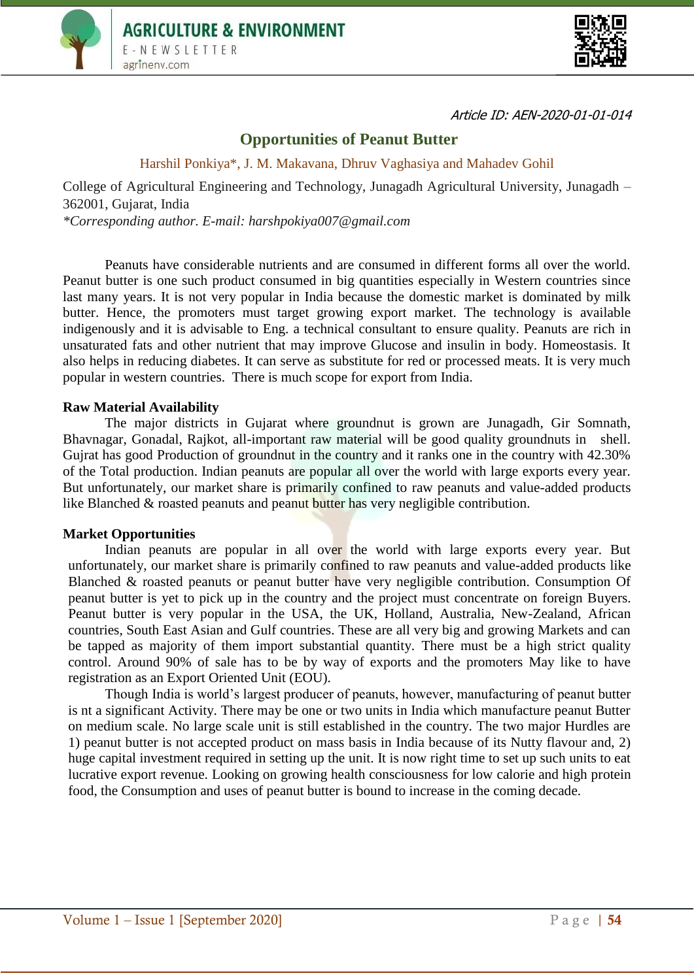



Article ID: AEN-2020-01-01-014

# **Opportunities of Peanut Butter**

Harshil Ponkiya\*, J. M. Makavana, Dhruv Vaghasiya and Mahadev Gohil

College of Agricultural Engineering and Technology, Junagadh Agricultural University, Junagadh – 362001, Gujarat, India *\*Corresponding author. E-mail: harshpokiya007@gmail.com*

Peanuts have considerable nutrients and are consumed in different forms all over the world. Peanut butter is one such product consumed in big quantities especially in Western countries since last many years. It is not very popular in India because the domestic market is dominated by milk butter. Hence, the promoters must target growing export market. The technology is available indigenously and it is advisable to Eng. a technical consultant to ensure quality. Peanuts are rich in unsaturated fats and other nutrient that may improve Glucose and insulin in body. Homeostasis. It also helps in reducing diabetes. It can serve as substitute for red or processed meats. It is very much popular in western countries. There is much scope for export from India.

### **Raw Material Availability**

The major districts in Gujarat where groundnut is grown are Junagadh, Gir Somnath, Bhavnagar, Gonadal, Rajkot, all-important raw material will be good quality groundnuts in shell. Gujrat has good Production of groundnut in the country and it ranks one in the country with 42.30% of the Total production. Indian peanuts are popular all over the world with large exports every year. But unfortunately, our market share is primarily confined to raw peanuts and value-added products like Blanched & roasted peanuts and peanut butter has very negligible contribution.

#### **Market Opportunities**

Indian peanuts are popular in all over the world with large exports every year. But unfortunately, our market share is primarily confined to raw peanuts and value-added products like Blanched & roasted peanuts or peanut butter have very negligible contribution. Consumption Of peanut butter is yet to pick up in the country and the project must concentrate on foreign Buyers. Peanut butter is very popular in the USA, the UK, Holland, Australia, New-Zealand, African countries, South East Asian and Gulf countries. These are all very big and growing Markets and can be tapped as majority of them import substantial quantity. There must be a high strict quality control. Around 90% of sale has to be by way of exports and the promoters May like to have registration as an Export Oriented Unit (EOU).

Though India is world's largest producer of peanuts, however, manufacturing of peanut butter is nt a significant Activity. There may be one or two units in India which manufacture peanut Butter on medium scale. No large scale unit is still established in the country. The two major Hurdles are 1) peanut butter is not accepted product on mass basis in India because of its Nutty flavour and, 2) huge capital investment required in setting up the unit. It is now right time to set up such units to eat lucrative export revenue. Looking on growing health consciousness for low calorie and high protein food, the Consumption and uses of peanut butter is bound to increase in the coming decade.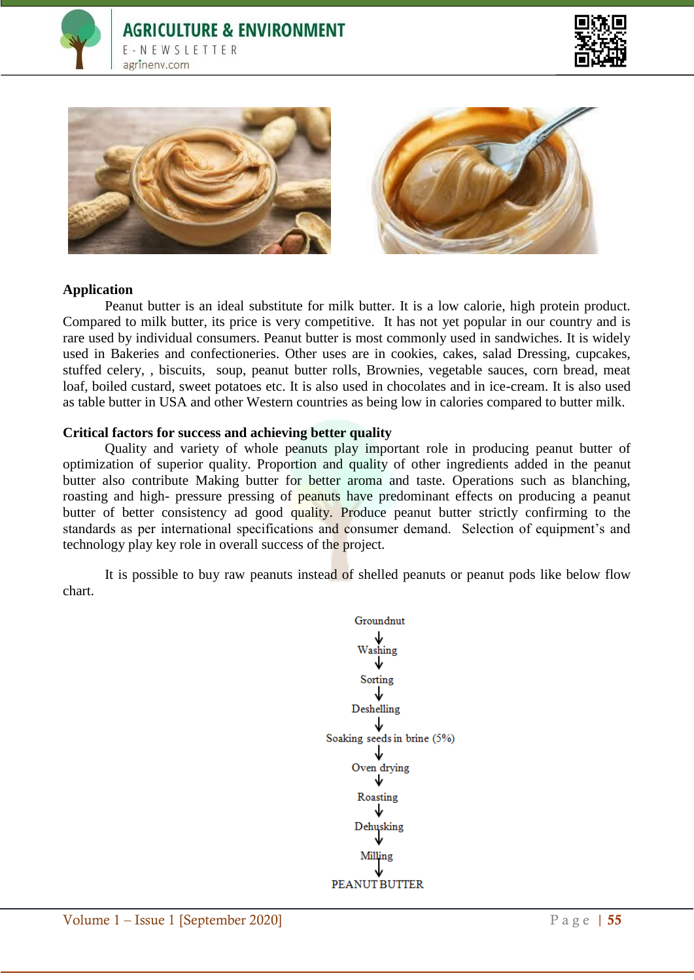







## **Application**

Peanut butter is an ideal substitute for milk butter. It is a low calorie, high protein product. Compared to milk butter, its price is very competitive. It has not yet popular in our country and is rare used by individual consumers. Peanut butter is most commonly used in sandwiches. It is widely used in Bakeries and confectioneries. Other uses are in cookies, cakes, salad Dressing, cupcakes, stuffed celery, , biscuits, soup, peanut butter rolls, Brownies, vegetable sauces, corn bread, meat loaf, boiled custard, sweet potatoes etc. It is also used in chocolates and in ice-cream. It is also used as table butter in USA and other Western countries as being low in calories compared to butter milk.

#### **Critical factors for success and achieving better quality**

Quality and variety of whole peanuts play important role in producing peanut butter of optimization of superior quality. Proportion and quality of other ingredients added in the peanut butter also contribute Making butter for better aroma and taste. Operations such as blanching, roasting and high- pressure pressing of **peanuts** have predominant effects on producing a peanut butter of better consistency ad good quality. Produce peanut butter strictly confirming to the standards as per international specifications and consumer demand. Selection of equipment's and technology play key role in overall success of the project.

It is possible to buy raw peanuts instead of shelled peanuts or peanut pods like below flow chart.